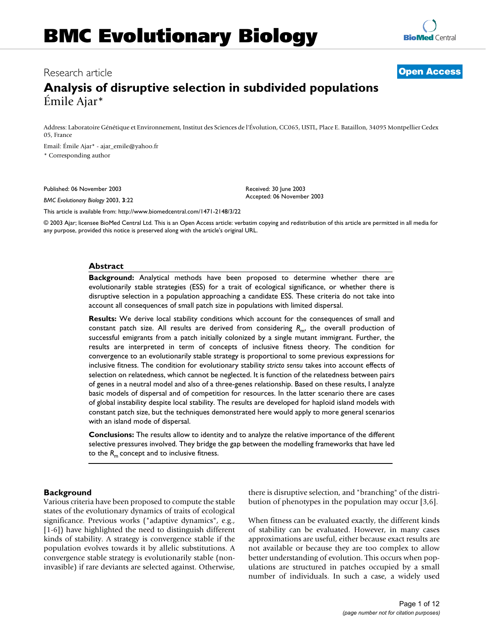# Research article **[Open Access](http://www.biomedcentral.com/info/about/charter/)**

# **Analysis of disruptive selection in subdivided populations** Émile Ajar\*

Address: Laboratoire Génétique et Environnement, Institut des Sciences de l'Évolution, CC065, USTL, Place E. Bataillon, 34095 Montpellier Cedex 05, France

Email: Émile Ajar\* - ajar\_emile@yahoo.fr \* Corresponding author

Published: 06 November 2003

*BMC Evolutionary Biology* 2003, **3**:22

Received: 30 June 2003 Accepted: 06 November 2003

[This article is available from: http://www.biomedcentral.com/1471-2148/3/22](http://www.biomedcentral.com/1471-2148/3/22)

© 2003 Ajar; licensee BioMed Central Ltd. This is an Open Access article: verbatim copying and redistribution of this article are permitted in all media for any purpose, provided this notice is preserved along with the article's original URL.

#### **Abstract**

**Background:** Analytical methods have been proposed to determine whether there are evolutionarily stable strategies (ESS) for a trait of ecological significance, or whether there is disruptive selection in a population approaching a candidate ESS. These criteria do not take into account all consequences of small patch size in populations with limited dispersal.

**Results:** We derive local stability conditions which account for the consequences of small and constant patch size. All results are derived from considering *R*m, the overall production of successful emigrants from a patch initially colonized by a single mutant immigrant. Further, the results are interpreted in term of concepts of inclusive fitness theory. The condition for convergence to an evolutionarily stable strategy is proportional to some previous expressions for inclusive fitness. The condition for evolutionary stability *stricto sensu* takes into account effects of selection on relatedness, which cannot be neglected. It is function of the relatedness between pairs of genes in a neutral model and also of a three-genes relationship. Based on these results, I analyze basic models of dispersal and of competition for resources. In the latter scenario there are cases of global instability despite local stability. The results are developed for haploid island models with constant patch size, but the techniques demonstrated here would apply to more general scenarios with an island mode of dispersal.

**Conclusions:** The results allow to identity and to analyze the relative importance of the different selective pressures involved. They bridge the gap between the modelling frameworks that have led to the  $R_m$  concept and to inclusive fitness.

# **Background**

Various criteria have been proposed to compute the stable states of the evolutionary dynamics of traits of ecological significance. Previous works ("adaptive dynamics", e.g., [1-6]) have highlighted the need to distinguish different kinds of stability. A strategy is convergence stable if the population evolves towards it by allelic substitutions. A convergence stable strategy is evolutionarily stable (noninvasible) if rare deviants are selected against. Otherwise, there is disruptive selection, and "branching" of the distribution of phenotypes in the population may occur [3,6].

When fitness can be evaluated exactly, the different kinds of stability can be evaluated. However, in many cases approximations are useful, either because exact results are not available or because they are too complex to allow better understanding of evolution. This occurs when populations are structured in patches occupied by a small number of individuals. In such a case, a widely used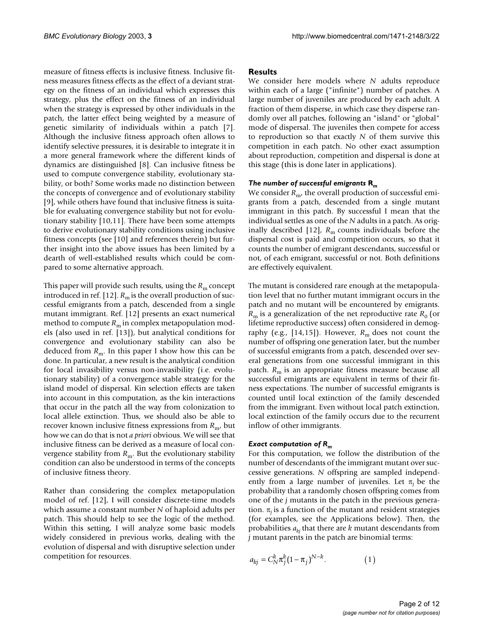measure of fitness effects is inclusive fitness. Inclusive fitness measures fitness effects as the effect of a deviant strategy on the fitness of an individual which expresses this strategy, plus the effect on the fitness of an individual when the strategy is expressed by other individuals in the patch, the latter effect being weighted by a measure of genetic similarity of individuals within a patch [7]. Although the inclusive fitness approach often allows to identify selective pressures, it is desirable to integrate it in a more general framework where the different kinds of dynamics are distinguished [8]. Can inclusive fitness be used to compute convergence stability, evolutionary stability, or both? Some works made no distinction between the concepts of convergence and of evolutionary stability [9], while others have found that inclusive fitness is suitable for evaluating convergence stability but not for evolutionary stability [10,11]. There have been some attempts to derive evolutionary stability conditions using inclusive fitness concepts (see [10] and references therein) but further insight into the above issues has been limited by a dearth of well-established results which could be compared to some alternative approach.

This paper will provide such results, using the  $R<sub>m</sub>$  concept introduced in ref. [12].  $R<sub>m</sub>$  is the overall production of successful emigrants from a patch, descended from a single mutant immigrant. Ref. [12] presents an exact numerical method to compute  $R_m$  in complex metapopulation models (also used in ref. [13]), but analytical conditions for convergence and evolutionary stability can also be deduced from  $R_m$ . In this paper I show how this can be done. In particular, a new result is the analytical condition for local invasibility versus non-invasibility (i.e. evolutionary stability) of a convergence stable strategy for the island model of dispersal. Kin selection effects are taken into account in this computation, as the kin interactions that occur in the patch all the way from colonization to local allele extinction. Thus, we should also be able to recover known inclusive fitness expressions from *R*m, but how we can do that is not *a priori* obvious. We will see that inclusive fitness can be derived as a measure of local convergence stability from  $R_m$ . But the evolutionary stability condition can also be understood in terms of the concepts of inclusive fitness theory.

Rather than considering the complex metapopulation model of ref. [12], I will consider discrete-time models which assume a constant number *N* of haploid adults per patch. This should help to see the logic of the method. Within this setting, I will analyze some basic models widely considered in previous works, dealing with the evolution of dispersal and with disruptive selection under competition for resources.

## **Results**

We consider here models where *N* adults reproduce within each of a large ("infinite") number of patches. A large number of juveniles are produced by each adult. A fraction of them disperse, in which case they disperse randomly over all patches, following an "island" or "global" mode of dispersal. The juveniles then compete for access to reproduction so that exactly *N* of them survive this competition in each patch. No other exact assumption about reproduction, competition and dispersal is done at this stage (this is done later in applications).

# *The number of successful emigrants* **R***<sup>m</sup>*

We consider  $R_{\rm m}$ , the overall production of successful emigrants from a patch, descended from a single mutant immigrant in this patch. By successful I mean that the individual settles as one of the *N* adults in a patch. As originally described [12],  $R<sub>m</sub>$  counts individuals before the dispersal cost is paid and competition occurs, so that it counts the number of emigrant descendants, successful or not, of each emigrant, successful or not. Both definitions are effectively equivalent.

The mutant is considered rare enough at the metapopulation level that no further mutant immigrant occurs in the patch and no mutant will be encountered by emigrants.  $R<sub>m</sub>$  is a generalization of the net reproductive rate  $R<sub>0</sub>$  (or lifetime reproductive success) often considered in demography (e.g.,  $[14,15]$ ). However,  $R<sub>m</sub>$  does not count the number of offspring one generation later, but the number of successful emigrants from a patch, descended over several generations from one successful immigrant in this patch. *R*<sub>m</sub> is an appropriate fitness measure because all successful emigrants are equivalent in terms of their fitness expectations. The number of successful emigrants is counted until local extinction of the family descended from the immigrant. Even without local patch extinction, local extinction of the family occurs due to the recurrent inflow of other immigrants.

#### *Exact computation of Rm*

For this computation, we follow the distribution of the number of descendants of the immigrant mutant over successive generations. *N* offspring are sampled independently from a large number of juveniles. Let  $\pi_i$  be the probability that a randomly chosen offspring comes from one of the *j* mutants in the patch in the previous generation.  $\pi$ <sub>i</sub> is a function of the mutant and resident strategies (for examples, see the Applications below). Then, the probabilities  $a_{ki}$  that there are  $k$  mutant descendants from *j* mutant parents in the patch are binomial terms:

$$
a_{kj} = C_N^k \pi_j^k (1 - \pi_j)^{N - k}.
$$
 (1)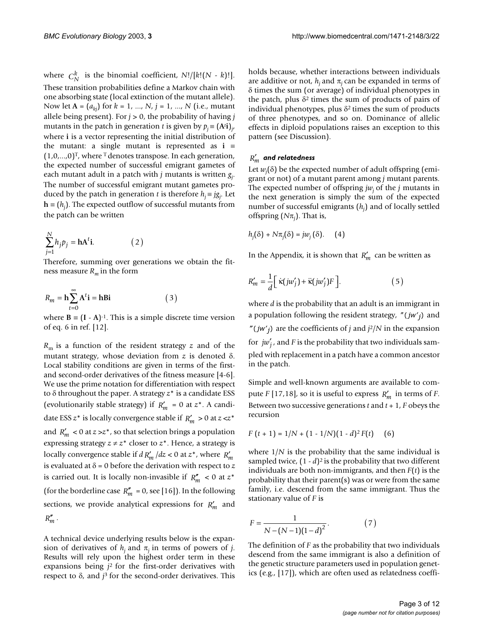where  $C_N^k$  is the binomial coefficient,  $N!/[k!(N - k)!]$ . These transition probabilities define a Markov chain with one absorbing state (local extinction of the mutant allele). Now let  $A = (a_{ki})$  for  $k = 1, ..., N$ ,  $j = 1, ..., N$  (i.e., mutant allele being present). For  $j > 0$ , the probability of having  $j$ mutants in the patch in generation *t* is given by  $p_j = (A^{t}i)_{j'}$ where **i** is a vector representing the initial distribution of the mutant: a single mutant is represented as **i** ≡  $(1,0,...,0)^T$ , where <sup>T</sup> denotes transpose. In each generation, the expected number of successful emigrant gametes of each mutant adult in a patch with *j* mutants is written *gj* . The number of successful emigrant mutant gametes produced by the patch in generation *t* is therefore  $h_j = jg_j$ . Let **h** ≡ (*hj* ). The expected outflow of successful mutants from the patch can be written

$$
\sum_{j=1}^{N} h_j p_j = \mathbf{h} \mathbf{A}^t \mathbf{i}.
$$
 (2)

Therefore, summing over generations we obtain the fitness measure  $R_m$  in the form

$$
R_m = \mathbf{h} \sum_{t=0}^{\infty} \mathbf{A}^t \mathbf{i} = \mathbf{h} \mathbf{B} \mathbf{i}
$$
 (3)

where  $B = (I - A)^{-1}$ . This is a simple discrete time version of eq. 6 in ref. [12].

*R*m is a function of the resident strategy *z* and of the mutant strategy, whose deviation from *z* is denoted δ. Local stability conditions are given in terms of the firstand second-order derivatives of the fitness measure [4-6]. We use the prime notation for differentiation with respect to δ throughout the paper. A strategy *z*\* is a candidate ESS (evolutionarily stable strategy) if  $R'_m = 0$  at  $z^*$ . A candidate ESS  $z^*$  is locally convergence stable if  $R'_m > 0$  at  $z \ll z^*$ and  $R'_m < 0$  at  $z \gg z^*$ , so that selection brings a population expressing strategy  $z \neq z^*$  closer to  $z^*$ . Hence, a strategy is locally convergence stable if  $d R'_m / dz < 0$  at  $z^*$ , where  $R'_m$ is evaluated at δ = 0 before the derivation with respect to *z* is carried out. It is locally non-invasible if  $R_m'' < 0$  at  $z^*$ (for the borderline case  $R_m^{\prime\prime} = 0$ , see [16]). In the following sections, we provide analytical expressions for  $R'_m$  and  $R''_m$ .

A technical device underlying results below is the expansion of derivatives of  $h_j$  and  $\pi_j$  in terms of powers of *j*. Results will rely upon the highest order term in these expansions being *j*2 for the first-order derivatives with respect to δ, and *j*3 for the second-order derivatives. This

holds because, whether interactions between individuals are additive or not,  $h_i$  and  $\pi_i$  can be expanded in terms of δ times the sum (or average) of individual phenotypes in the patch, plus  $\delta^2$  times the sum of products of pairs of individual phenotypes, plus  $\delta^2$  times the sum of products of three phenotypes, and so on. Dominance of allelic effects in diploid populations raises an exception to this pattern (see Discussion).

# $R_m^{\prime} \,$  and relatedness

Let *wj* (δ) be the expected number of adult offspring (emigrant or not) of a mutant parent among *j* mutant parents. The expected number of offspring *jwj* of the *j* mutants in the next generation is simply the sum of the expected number of successful emigrants (*hj* ) and of locally settled offspring (*N*π*<sup>j</sup>* ). That is,

$$
h_j(\delta) + N\pi_j(\delta) = jw_j(\delta). \quad (4)
$$

In the Appendix, it is shown that  $R'_m$  can be written as

$$
R'_{m} = \frac{1}{d} \left[ \dot{\kappa}(j w'_{j}) + \ddot{\kappa}(j w'_{j}) F \right]. \tag{5}
$$

where *d* is the probability that an adult is an immigrant in a population following the resident strategy, "(*jw'<sub>j</sub>*) and "( $jw'j$ ) are the coefficients of *j* and  $j^2/N$  in the expansion for  $jw'_j$ , and *F* is the probability that two individuals sampled with replacement in a patch have a common ancestor in the patch.

Simple and well-known arguments are available to compute *F* [17,18], so it is useful to express  $R'_m$  in terms of *F*. Between two successive generations *t* and *t* + 1, *F* obeys the recursion

$$
F(t+1) = 1/N + (1 - 1/N)(1 - d)^2 F(t)
$$
 (6)

where 1/*N* is the probability that the same individual is sampled twice,  $(1 - d)^2$  is the probability that two different individuals are both non-immigrants, and then *F*(*t*) is the probability that their parent(s) was or were from the same family, i.e. descend from the same immigrant. Thus the stationary value of *F* is

$$
F = \frac{1}{N - (N - 1)(1 - d)^2}.
$$
 (7)

The definition of *F* as the probability that two individuals descend from the same immigrant is also a definition of the genetic structure parameters used in population genetics (e.g., [17]), which are often used as relatedness coeffi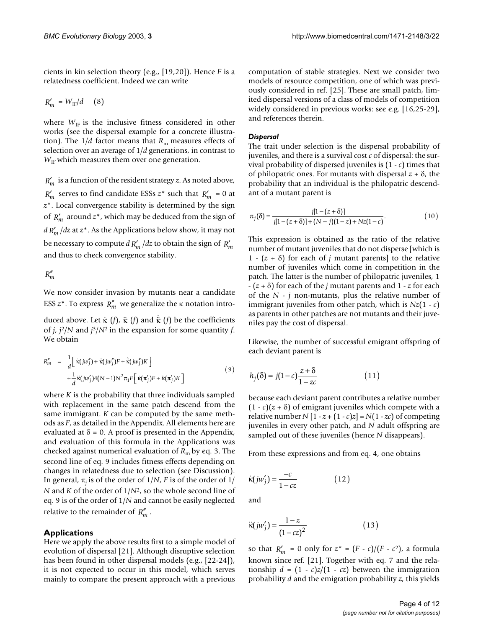cients in kin selection theory (e.g., [19,20]). Hence *F* is a relatedness coefficient. Indeed we can write

$$
R'_m\,=W_\text{IF}/d\quad \ \ (8)
$$

where  $W_{IF}$  is the inclusive fitness considered in other works (see the dispersal example for a concrete illustration). The  $1/d$  factor means that  $R<sub>m</sub>$  measures effects of selection over an average of 1/*d* generations, in contrast to  $W_{IF}$  which measures them over one generation.

 is a function of the resident strategy *z*. As noted above, *Rm*′  $R'_m$  serves to find candidate ESSs  $z^*$  such that  $R'_m = 0$  at *z*\*. Local convergence stability is determined by the sign of  $R'_m$  around  $z^*$ , which may be deduced from the sign of  $d \, R'_m / dz$  at  $z^*$  . As the Applications below show, it may not be necessary to compute  $dR'_m/dz$  to obtain the sign of  $R'_m$ and thus to check convergence stability.

# $R''_m$

We now consider invasion by mutants near a candidate ESS  $z^*$ . To express  $R_m^{\prime\prime}$  we generalize the  $\kappa$  notation intro-

duced above. Let  $\kappa$  (*f*),  $\ddot{\kappa}$  (*f*) and  $\dot{\kappa}$  (*f*) be the coefficients of *j*, *j*2/*N* and *j*3/*N*2 in the expansion for some quantity *f*. We obtain

$$
R''_m = \frac{1}{d} \left[ \kappa(jw''_j) + \kappa(jw''_j)F + \kappa(jw''_j)K \right] + \frac{1}{d} \kappa(jw'_j)4(N-1)N^2 \pi_1 F \left[ \kappa(\pi'_j)F + \kappa(\pi'_j)K \right]
$$
\n(9)

where *K* is the probability that three individuals sampled with replacement in the same patch descend from the same immigrant. *K* can be computed by the same methods as *F*, as detailed in the Appendix. All elements here are evaluated at  $\delta = 0$ . A proof is presented in the Appendix, and evaluation of this formula in the Applications was checked against numerical evaluation of *R*m by eq. 3. The second line of eq. 9 includes fitness effects depending on changes in relatedness due to selection (see Discussion). In general,  $\pi$ <sub>i</sub> is of the order of 1/*N*, *F* is of the order of 1/ *N* and *K* of the order of 1/*N*2, so the whole second line of eq. 9 is of the order of 1/*N* and cannot be easily neglected relative to the remainder of  $R''_m$ .

# **Applications**

Here we apply the above results first to a simple model of evolution of dispersal [21]. Although disruptive selection has been found in other dispersal models (e.g., [22-24]), it is not expected to occur in this model, which serves mainly to compare the present approach with a previous

computation of stable strategies. Next we consider two models of resource competition, one of which was previously considered in ref. [25]. These are small patch, limited dispersal versions of a class of models of competition widely considered in previous works: see e.g. [16,25-29], and references therein.

## *Dispersal*

The trait under selection is the dispersal probability of juveniles, and there is a survival cost *c* of dispersal: the survival probability of dispersed juveniles is (1 - *c*) times that of philopatric ones. For mutants with dispersal *z* + δ, the probability that an individual is the philopatric descendant of a mutant parent is

$$
\pi_j(\delta) = \frac{j[1 - (z + \delta)]}{j[1 - (z + \delta)] + (N - j)(1 - z) + Nz(1 - c)}.
$$
\n(10)

This expression is obtained as the ratio of the relative number of mutant juveniles that do not disperse [which is 1 -  $(z + \delta)$  for each of *j* mutant parents] to the relative number of juveniles which come in competition in the patch. The latter is the number of philopatric juveniles, 1 - (*z* + δ) for each of the *j* mutant parents and 1 - *z* for each of the *N* - *j* non-mutants, plus the relative number of immigrant juveniles from other patch, which is *Nz*(1 - *c*) as parents in other patches are not mutants and their juveniles pay the cost of dispersal.

Likewise, the number of successful emigrant offspring of each deviant parent is

$$
h_j(\delta) = j(1-c)\frac{z+\delta}{1-zc}
$$
 (11)

because each deviant parent contributes a relative number  $(1 - c)(z + \delta)$  of emigrant juveniles which compete with a relative number  $N[1 - z + (1 - c)z] = N(1 - zc)$  of competing juveniles in every other patch, and *N* adult offspring are sampled out of these juveniles (hence *N* disappears).

From these expressions and from eq. 4, one obtains

$$
\dot{\kappa}(j w_j') = \frac{-c}{1 - cz} \tag{12}
$$

and

$$
\ddot{\kappa}(j w_j') = \frac{1 - z}{(1 - cz)^2} \tag{13}
$$

so that  $R'_m = 0$  only for  $z^* = (F - c)/(F - c^2)$ , a formula known since ref. [21]. Together with eq. 7 and the relationship  $d = (1 - c)z/(1 - cz)$  between the immigration probability *d* and the emigration probability *z*, this yields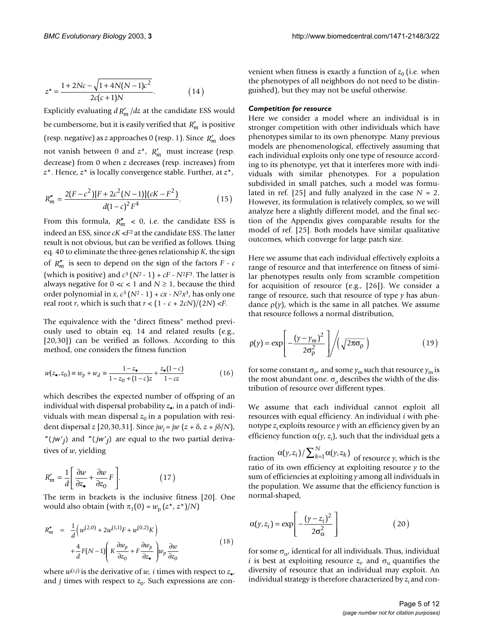$$
z^* = \frac{1 + 2Nc - \sqrt{1 + 4N(N - 1)c^2}}{2c(c + 1)N}.
$$
 (14)

Explicitly evaluating  $d R'_m/dz$  at the candidate ESS would be cumbersome, but it is easily verified that  $R'_m$  is positive (resp. negative) as *z* approaches 0 (resp. 1). Since  $R'_m$  does not vanish between 0 and  $z^*$ ,  $R'_m$  must increase (resp. decrease) from 0 when *z* decreases (resp. increases) from *z*\*. Hence, *z*\* is locally convergence stable. Further, at *z*\*,

$$
R''_m = \frac{2(F - c^2)[F + 2c^2(N - 1)](cK - F^2)}{d(1 - c)^2 F^4}.
$$
\n(15)

From this formula,  $R_m'' < 0$ , i.e. the candidate ESS is indeed an ESS, since *cK* <*F*2 at the candidate ESS. The latter result is not obvious, but can be verified as follows. Using eq. 40 to eliminate the three-genes relationship *K*, the sign of  $R''_m$  is seen to depend on the sign of the factors  $F$  -  $c$ (which is positive) and  $c^3 (N^2 - 1) + cF - N^2F^3$ . The latter is always negative for  $0 \lt c \lt 1$  and  $N \geq 1$ , because the third order polynomial in *x*,  $c^3$  ( $N^2$  - 1) +  $cx$  -  $N^2x^3$ , has only one real root *r*, which is such that  $r < (1 - c + 2cN)/(2N) < F$ .

The equivalence with the "direct fitness" method previously used to obtain eq. 14 and related results (e.g., [20,30]) can be verified as follows. According to this method, one considers the fitness function

$$
w(z_{\bullet}, z_0) \equiv w_p + w_d \equiv \frac{1 - z_{\bullet}}{1 - z_0 + (1 - c)z} + \frac{z_{\bullet}(1 - c)}{1 - cz} \tag{16}
$$

which describes the expected number of offspring of an individual with dispersal probability *z*•, in a patch of individuals with mean dispersal  $z_0$  in a population with resident dispersal *z* [20,30,31]. Since *jwj* = *jw* (*z* + δ, *z* + *j*δ/*N*), "(*jw'<sub>j</sub>*) and "(*jw'<sub>j</sub>*) are equal to the two partial derivatives of *w*, yielding

$$
R'_{m} = \frac{1}{d} \left[ \frac{\partial w}{\partial z_{\bullet}} + \frac{\partial w}{\partial z_{0}} F \right].
$$
 (17)

The term in brackets is the inclusive fitness [20]. One would also obtain (with  $\pi_1(0) = w_p(z^*, z^*)/N$ )

$$
R''_m = \frac{1}{d} \left( w^{(2,0)} + 2w^{(1,1)}F + w^{(0,2)}K \right)
$$
  
+ 
$$
\frac{4}{d}F(N-1) \left( K \frac{\partial w_p}{\partial z_0} + F \frac{\partial w_p}{\partial z_0} \right) w_p \frac{\partial w}{\partial z_0}
$$
(18)

where  $w^{(i,j)}$  is the derivative of *w*, *i* times with respect to  $z_{\bullet}$ , and *j* times with respect to  $z_0$ . Such expressions are convenient when fitness is exactly a function of  $z_0$  (i.e. when the phenotypes of all neighbors do not need to be distinguished), but they may not be useful otherwise.

## *Competition for resource*

Here we consider a model where an individual is in stronger competition with other individuals which have phenotypes similar to its own phenotype. Many previous models are phenomenological, effectively assuming that each individual exploits only one type of resource according to its phenotype, yet that it interferes more with individuals with similar phenotypes. For a population subdivided in small patches, such a model was formulated in ref.  $[25]$  and fully analyzed in the case  $N = 2$ . However, its formulation is relatively complex, so we will analyze here a slightly different model, and the final section of the Appendix gives comparable results for the model of ref. [25]. Both models have similar qualitative outcomes, which converge for large patch size.

Here we assume that each individual effectively exploits a range of resource and that interference on fitness of similar phenotypes results only from scramble competition for acquisition of resource (e.g., [26]). We consider a range of resource, such that resource of type *y* has abundance  $\rho(y)$ , which is the same in all patches. We assume that resource follows a normal distribution,

$$
\rho(\gamma) = \exp\left[-\frac{(\gamma - \gamma_m)^2}{2\sigma_\rho^2}\right] / \left(\sqrt{2\pi\sigma_\rho}\right) \tag{19}
$$

for some constant  $\sigma_{\rho'}$ , and some  $\gamma_m$  such that resource  $\gamma_m$  is the most abundant one.  $\sigma$ <sub>o</sub> describes the width of the distribution of resource over different types.

We assume that each individual cannot exploit all resources with equal efficiency. An individual *i* with phenotype  $z_i$  exploits resource  $\gamma$  with an efficiency given by an efficiency function  $\alpha(y, z_i)$ , such that the individual gets a

fraction  $\alpha(\gamma,z_i) / \sum_{k=1}^N \alpha(\gamma,z_k)$  <sub>of resource  $\gamma$ , which is the</sub> ratio of its own efficiency at exploiting resource *y* to the sum of efficiencies at exploiting *y* among all individuals in the population. We assume that the efficiency function is normal-shaped,

$$
\alpha(\gamma, z_i) = \exp\left[-\frac{(\gamma - z_i)^2}{2\sigma_{\alpha}^2}\right]
$$
 (20)

for some  $\sigma_{\alpha}$ , identical for all individuals. Thus, individual *i* is best at exploiting resource  $z_i$ , and  $\sigma_\alpha$  quantifies the diversity of resource that an individual may exploit. An individual strategy is therefore characterized by  $z_i$  and con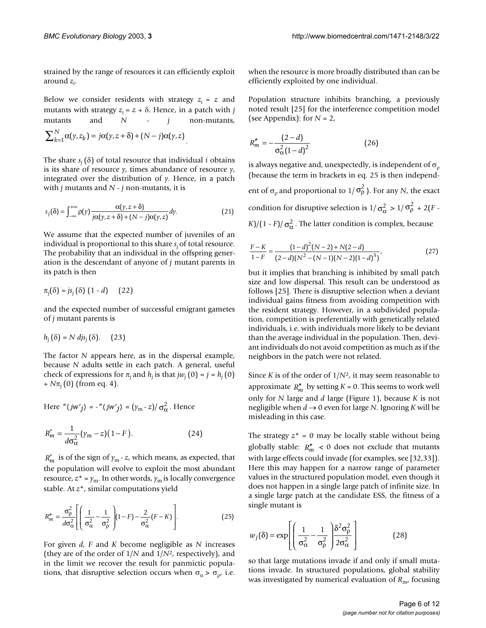strained by the range of resources it can efficiently exploit around *zi* .

Below we consider residents with strategy  $z_i = z$  and mutants with strategy  $z_i = z + \delta$ . Hence, in a patch with *j* mutants and *N* - *j* non-mutants,

$$
\sum_{k=1}^N \alpha(\gamma, z_k) = j\alpha(\gamma, z + \delta) + (N - j)\alpha(\gamma, z).
$$

The share  $s_i(\delta)$  of total resource that individual *i* obtains is its share of resource *y*, times abundance of resource *y*, integrated over the distribution of *y*. Hence, in a patch with *j* mutants and *N* - *j* non-mutants, it is

$$
s_j(\delta) = \int_{-\infty}^{+\infty} \rho(\gamma) \frac{\alpha(\gamma, z + \delta)}{j\alpha(\gamma, z + \delta) + (N - j)\alpha(\gamma, z)} d\gamma.
$$
 (21)

We assume that the expected number of juveniles of an individual is proportional to this share *sj* of total resource. The probability that an individual in the offspring generation is the descendant of anyone of *j* mutant parents in its patch is then

$$
\pi_j(\delta) = j s_j(\delta) (1 - d) \qquad (22)
$$

and the expected number of successful emigrant gametes of *j* mutant parents is

$$
h_j(\delta) = N \, djs_j(\delta). \quad (23)
$$

The factor *N* appears here, as in the dispersal example, because *N* adults settle in each patch. A general, useful check of expressions for  $\pi$ <sub>*i*</sub> and  $h$ <sub>*i*</sub> is that *jw*<sub>*i*</sub> (0) = *j* =  $h$ <sub>*i*</sub> (0)  $+ N\pi_i (0)$  (from eq. 4).

Here "
$$
(jw'j) = -
$$
" $(jw'j) = (\gamma_m - z)/\sigma_{\alpha}^2$ . Hence

$$
R'_{m} = \frac{1}{d\sigma_{\alpha}^{2}} (\gamma_{m} - z)(1 - F). \tag{24}
$$

 $R'_m$  is of the sign of  $\gamma_m$  - *z*, which means, as expected, that the population will evolve to exploit the most abundant resource,  $z^* = \gamma_m$ . In other words,  $\gamma_m$  is locally convergence stable. At *z*\*, similar computations yield

$$
R''_m = \frac{\sigma_\rho^2}{d\sigma_\alpha^2} \left[ \left( \frac{1}{\sigma_\alpha^2} - \frac{1}{\sigma_\rho^2} \right) (1 - F) - \frac{2}{\sigma_\alpha^2} (F - K) \right].
$$
 (25)

For given *d*, *F* and *K* become negligible as *N* increases (they are of the order of 1/*N* and 1/*N*2, respectively), and in the limit we recover the result for panmictic populations, that disruptive selection occurs when  $\sigma_{\alpha} > \sigma_{\alpha}$ , i.e.

when the resource is more broadly distributed than can be efficiently exploited by one individual.

Population structure inhibits branching, a previously noted result [25] for the interference competition model (see Appendix): for  $N = 2$ ,

$$
R''_m = -\frac{(2-d)}{\sigma_\alpha^2 (1-d)^2} \tag{26}
$$

is always negative and, unexpectedly, is independent of  $\sigma$ <sub>o</sub> (because the term in brackets in eq. 25 is then independent of  $\sigma_{\rho}$  and proportional to  $1/\sigma_{\rho}^2$  ). For any *N*, the exact condition for disruptive selection is  $1/\sigma_{\alpha}^2 > 1/\sigma_{\rho}^2 + 2(F -$ *K*)/(1 - *F*)/  $\sigma_{\alpha}^2$ . The latter condition is complex, because

$$
\frac{F-K}{1-F} = \frac{(1-d)^2(N-2) + N(2-d)}{(2-d)(N^2 - (N-1)(N-2)(1-d)^3)},
$$
\n(27)

but it implies that branching is inhibited by small patch size and low dispersal. This result can be understood as follows [25]. There is disruptive selection when a deviant individual gains fitness from avoiding competition with the resident strategy. However, in a subdivided population, competition is preferentially with genetically related individuals, i.e. with individuals more likely to be deviant than the average individual in the population. Then, deviant individuals do not avoid competition as much as if the neighbors in the patch were not related.

Since *K* is of the order of 1/*N*2, it may seem reasonable to approximate  $R_m^{\prime\prime}$  by setting  $K = 0$ . This seems to work well only for *N* large and *d* large (Figure 1), because *K* is not negligible when  $d \rightarrow 0$  even for large *N*. Ignoring *K* will be misleading in this case.

The strategy  $z^* = 0$  may be locally stable without being globally stable:  $R''_m < 0$  does not exclude that mutants with large effects could invade (for examples, see [32,33]). Here this may happen for a narrow range of parameter values in the structured population model, even though it does not happen in a single large patch of infinite size. In a single large patch at the candidate ESS, the fitness of a single mutant is

$$
w_j(\delta) = \exp\left[ \left( \frac{1}{\sigma_{\alpha}^2} - \frac{1}{\sigma_{\rho}^2} \right) \frac{\delta^2 \sigma_{\rho}^2}{2\sigma_{\alpha}^2} \right]
$$
(28)

so that large mutations invade if and only if small mutations invade. In structured populations, global stability was investigated by numerical evaluation of *R<sub>m</sub>*, focusing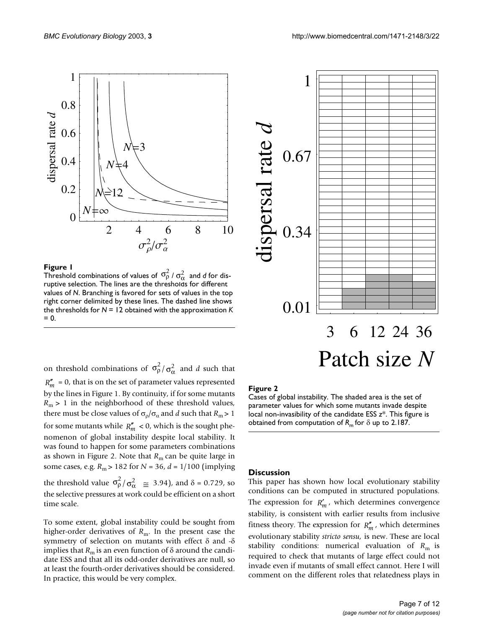2 4 6 8 10  $\sigma_\rho^2/\sigma_\alpha^2$  $\theta$ 0.2 0.4 0.6 0.8 1 dispersal rate *d N*3  $N\succcurlyeq4$ M∕≓12  $N = \infty$ 

#### **The I** and selections of  $\frac{1}{2}$  and selection  $\frac{1}{2}$  and selection  $\frac{1}{2}$

Threshold combinations of values of  $\sigma_{\rho}^2 / \sigma_{\alpha}^2$  and *d* for disruptive selection. The lines are the thresholds for different values of *N*. Branching is favored for sets of values in the top right corner delimited by these lines. The dashed line shows the thresholds for *N* = 12 obtained with the approximation *K*   $= 0.$ 

<span id="page-6-0"></span>

on threshold combinations of  $\sigma_{\rho}^2 / \sigma_{\alpha}^2$  and *d* such that  $R''_m = 0$ , that is on the set of parameter values represented by the lines in Figure 1. By continuity, if for some mutants  $R_m$  > 1 in the neighborhood of these threshold values, there must be close values of  $\sigma_{\rho}/\sigma_{\alpha}$  and *d* such that  $R_{\rm m}$  > 1 for some mutants while  $R''_m < 0$ , which is the sought phenomenon of global instability despite local stability. It was found to happen for some parameters combinations as shown in Figure [2](#page-6-0). Note that  $R<sub>m</sub>$  can be quite large in some cases, e.g. *R*m > 182 for *N* = 36, *d* = 1/100 (implying the threshold value  $\sigma_{\rho}^2 / \sigma_{\alpha}^2 \cong 3.94$ ), and  $\delta = 0.729$ , so the selective pressures at work could be efficient on a short time scale.

To some extent, global instability could be sought from higher-order derivatives of *R*<sub>m</sub>. In the present case the symmetry of selection on mutants with effect δ and -δ implies that  $R_m$  is an even function of  $\delta$  around the candidate ESS and that all its odd-order derivatives are null, so at least the fourth-order derivatives should be considered. In practice, this would be very complex.

# **Figure 2**

Cases of global instability. The shaded area is the set of parameter values for which some mutants invade despite local non-invasibility of the candidate ESS *z*\*. This figure is obtained from computation of *R*m for δ up to 2.187.

#### **Discussion**

This paper has shown how local evolutionary stability conditions can be computed in structured populations. The expression for  $R'_m$ , which determines convergence stability, is consistent with earlier results from inclusive fitness theory. The expression for  $R''_m$ , which determines evolutionary stability *stricto sensu,* is new. These are local stability conditions: numerical evaluation of  $R<sub>m</sub>$  is required to check that mutants of large effect could not invade even if mutants of small effect cannot. Here I will comment on the different roles that relatedness plays in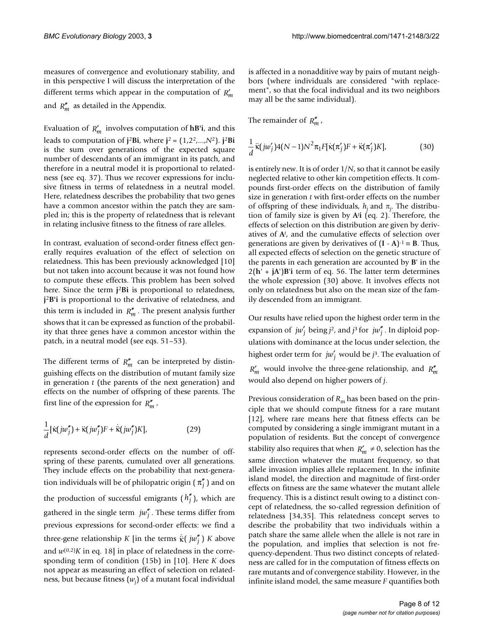measures of convergence and evolutionary stability, and in this perspective I will discuss the interpretation of the different terms which appear in the computation of  $R'_m$ and  $R''_m$  as detailed in the Appendix.

Evaluation of  $R'_m$  involves computation of **hB'i**, and this leads to computation of  $\mathbf{i}^2$ Bi, where  $\mathbf{i}^2 = (1, 2^2, ..., N^2)$ .  $\mathbf{i}^2$ Bi is the sum over generations of the expected square number of descendants of an immigrant in its patch, and therefore in a neutral model it is proportional to relatedness (see eq. 37). Thus we recover expressions for inclusive fitness in terms of relatedness in a neutral model. Here, relatedness describes the probability that two genes have a common ancestor within the patch they are sampled in; this is the property of relatedness that is relevant in relating inclusive fitness to the fitness of rare alleles.

In contrast, evaluation of second-order fitness effect generally requires evaluation of the effect of selection on relatedness. This has been previously acknowledged [10] but not taken into account because it was not found how to compute these effects. This problem has been solved here. Since the term **j**<sup>2</sup>**Bi** is proportional to relatedness, **j**<sup>2</sup>**B'i** is proportional to the derivative of relatedness, and this term is included in  $R''_m$ . The present analysis further shows that it can be expressed as function of the probability that three genes have a common ancestor within the patch, in a neutral model (see eqs. 51–53).

The different terms of  $R''_m$  can be interpreted by distinguishing effects on the distribution of mutant family size in generation *t* (the parents of the next generation) and effects on the number of offspring of these parents. The first line of the expression for  $R''_m$ ,

$$
\frac{1}{d}[\dot{\kappa}(jw_j'') + \ddot{\kappa}(jw_j'')F + \dot{\kappa}(jw_j'')K],\tag{29}
$$

represents second-order effects on the number of offspring of these parents, cumulated over all generations. They include effects on the probability that next-generation individuals will be of philopatric origin (  $\pi''_j$  ) and on the production of successful emigrants  $(h''_j)$ , which are gathered in the single term  $j w_j^{\prime}$ . These terms differ from previous expressions for second-order effects: we find a three-gene relationship *K* [in the terms  $\dot{\kappa}$ (  $jw_j''$  ) *K* above and  $w^{(0,2)}K$  in eq. 18] in place of relatedness in the corresponding term of condition (15b) in [10]. Here *K* does not appear as measuring an effect of selection on relatedness, but because fitness (*wj* ) of a mutant focal individual

is affected in a nonadditive way by pairs of mutant neighbors (where individuals are considered "with replacement", so that the focal individual and its two neighbors may all be the same individual).

The remainder of  $R''_m$ ,

$$
\frac{1}{d}\ddot{\kappa}(j\omega'_j)4(N-1)N^2\pi_1F[\dot{\kappa}(\pi'_j)F + \ddot{\kappa}(\pi'_j)K],\tag{30}
$$

is entirely new. It is of order 1/*N*, so that it cannot be easily neglected relative to other kin competition effects. It compounds first-order effects on the distribution of family size in generation *t* with first-order effects on the number of offspring of these individuals,  $h_j$  and  $\pi_j$ . The distribution of family size is given by **A***<sup>t</sup>* **i** (eq. 2). Therefore, the effects of selection on this distribution are given by derivatives of **A***<sup>t</sup>* , and the cumulative effects of selection over generations are given by derivatives of  $(I - A)^{-1} = B$ . Thus, all expected effects of selection on the genetic structure of the parents in each generation are accounted by **B**' in the  $2(h' + jA')B'$ **i** term of eq. 56. The latter term determines the whole expression (30) above. It involves effects not only on relatedness but also on the mean size of the family descended from an immigrant.

Our results have relied upon the highest order term in the expansion of  $jw'_j$  being  $j^2$ , and  $j^3$  for  $jw''_j$ . In diploid populations with dominance at the locus under selection, the highest order term for  $jw'_j$  would be  $j^3$ . The evaluation of  $R'_m$  would involve the three-gene relationship, and  $R''_m$ would also depend on higher powers of *j*.

Previous consideration of  $R<sub>m</sub>$  has been based on the principle that we should compute fitness for a rare mutant [12], where rare means here that fitness effects can be computed by considering a single immigrant mutant in a population of residents. But the concept of convergence stability also requires that when  $R'_m \neq 0$ , selection has the same direction whatever the mutant frequency, so that allele invasion implies allele replacement. In the infinite island model, the direction and magnitude of first-order effects on fitness are the same whatever the mutant allele frequency. This is a distinct result owing to a distinct concept of relatedness, the so-called regression definition of relatedness [34,35]. This relatedness concept serves to describe the probability that two individuals within a patch share the same allele when the allele is not rare in the population, and implies that selection is not frequency-dependent. Thus two distinct concepts of relatedness are called for in the computation of fitness effects on rare mutants and of convergence stability. However, in the infinite island model, the same measure *F* quantifies both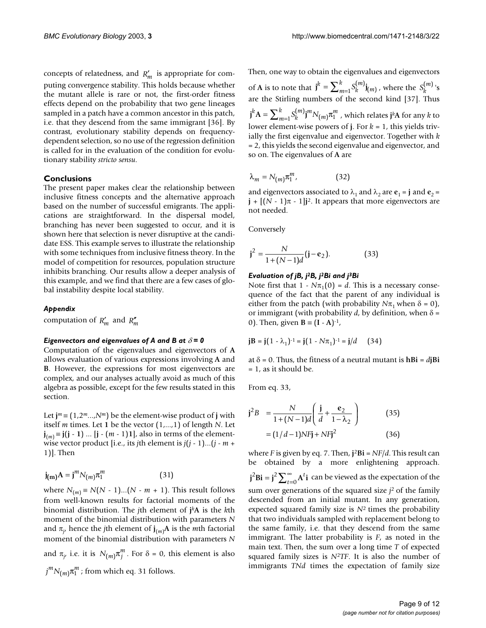concepts of relatedness, and  $R'_m$  is appropriate for computing convergence stability. This holds because whether the mutant allele is rare or not, the first-order fitness effects depend on the probability that two gene lineages sampled in a patch have a common ancestor in this patch, i.e. that they descend from the same immigrant [36]. By contrast, evolutionary stability depends on frequencydependent selection, so no use of the regression definition is called for in the evaluation of the condition for evolutionary stability *stricto sensu*.

# **Conclusions**

The present paper makes clear the relationship between inclusive fitness concepts and the alternative approach based on the number of successful emigrants. The applications are straightforward. In the dispersal model, branching has never been suggested to occur, and it is shown here that selection is never disruptive at the candidate ESS. This example serves to illustrate the relationship with some techniques from inclusive fitness theory. In the model of competition for resources, population structure inhibits branching. Our results allow a deeper analysis of this example, and we find that there are a few cases of global instability despite local stability.

## *Appendix*

computation of  $R'_m$  and  $R''_m$ 

# *Eigenvectors and eigenvalues of A and B at*  $\delta$  = 0

Computation of the eigenvalues and eigenvectors of **A** allows evaluation of various expressions involving **A** and **B**. However, the expressions for most eigenvectors are complex, and our analyses actually avoid as much of this algebra as possible, except for the few results stated in this section.

Let  $\mathbf{j}$ <sup>*m*</sup>≡ (1,2<sup>*m*</sup>...,*N<sup>m</sup>*) be the element-wise product of **j** with itself *m* times. Let **1** be the vector (1,...,1) of length *N*. Let **j**<sub>(*m*)</sub> ≡ **j**(**j** − **1**) ... [**j** − (*m* − 1)**1**], also in terms of the elementwise vector product [i.e., its *j*th element is *j*(*j* - 1)...(*j* - *m* + 1)]. Then

$$
\mathbf{j}_{(\mathbf{m})}\mathbf{A} = \mathbf{j}^m N_{(m)} \pi_1^m \tag{31}
$$

where  $N_{(m)} \equiv N(N-1)...(N-m+1)$ . This result follows from well-known results for factorial moments of the binomial distribution. The *j*th element of **j***<sup>k</sup>***A** is the *k*th moment of the binomial distribution with parameters *N* and  $\pi_{j}$ , hence the *j*th element of  $\mathbf{j}_{(m)}$ **A** is the *m*th factorial moment of the binomial distribution with parameters *N* and  $\pi_{j}$ , i.e. it is  $N_{(m)}\pi_{j}^{m}$ . For  $\delta = 0$ , this element is also  $j^m N_{(m)} \pi_1^m$  ; from which eq. 31 follows.

Then, one way to obtain the eigenvalues and eigenvectors of **A** is to note that  $j^k = \sum_{m=1}^{\infty} S_k^{(m)} j_{(m)}$ , where the  $S_k^{(m)}$ 's are the Stirling numbers of the second kind [37]. Thus  $\mathbf{j}^k \mathbf{A} = \sum_{m=1}^k \mathbf{S}_k^{(m)} \mathbf{j}^m N_{(m)} \pi_1^m$  , which relates  $\mathbf{j}^k \mathbf{A}$  for any  $k$  to lower element-wise powers of **j**. For *k* = 1, this yields trivially the first eigenvalue and eigenvector. Together with *k* = 2, this yields the second eigenvalue and eigenvector, and so on. The eigenvalues of **A** are  $j^k = \sum_{m=1}^k S_k^{(m)}$ j  $=\sum_{m=1}^k S_k^{(m)}$ **j**<sub>(*m*)</sub>, where the  $S_k^{(m)}$ 

$$
\lambda_m = N_{(m)} \pi_1^m, \tag{32}
$$

and eigenvectors associated to  $\lambda_1$  and  $\lambda_2$  are  $\mathbf{e}_1 = \mathbf{j}$  and  $\mathbf{e}_2 =$  $\mathbf{j} + [(N-1)\pi - 1]\mathbf{j}^2$ . It appears that more eigenvectors are not needed.

Conversely

$$
\mathbf{j}^2 = \frac{N}{1 + (N - 1)d} (\mathbf{j} - \mathbf{e}_2). \tag{33}
$$

## *Evaluation of jB, j2B, j2Bi and j3Bi*

Note first that  $1 - N\pi_1(0) = d$ . This is a necessary consequence of the fact that the parent of any individual is either from the patch (with probability  $N\pi_1$  when  $\delta = 0$ ), or immigrant (with probability  $d$ , by definition, when  $\delta$  = 0). Then, given  $B = (I - A)^{-1}$ ,

$$
\mathbf{j}B = \mathbf{j}(1 - \lambda_1)^{-1} = \mathbf{j}(1 - N\pi_1)^{-1} = \mathbf{j}/d \quad (34)
$$

at  $\delta = 0$ . Thus, the fitness of a neutral mutant is  $hBi = djBi$  $= 1$ , as it should be.

From eq. 33,

$$
\mathbf{j}^2 B = \frac{N}{1 + (N - 1)d} \left( \frac{\mathbf{j}}{d} + \frac{\mathbf{e}_2}{1 - \lambda_2} \right)
$$
(35)  
=  $(1/d - 1)NF\mathbf{j} + NF\mathbf{j}^2$  (36)

where *F* is given by eq. 7. Then,  $\mathbf{i}^2 \mathbf{Bi} = NF/d$ . This result can be obtained by a more enlightening approach.  $j^2$ **Bi** =  $j^2$  $\sum_{t=0}^{\infty}$ **A**<sup>*t*</sup>**i** can be viewed as the expectation of the sum over generations of the squared size *j*2 of the family descended from an initial mutant. In any generation, expected squared family size is *N*2 times the probability that two individuals sampled with replacement belong to the same family, i.e. that they descend from the same immigrant. The latter probability is *F*, as noted in the main text. Then, the sum over a long time *T* of expected squared family sizes is *N*<sup>2</sup>*TF*. It is also the number of immigrants *TNd* times the expectation of family size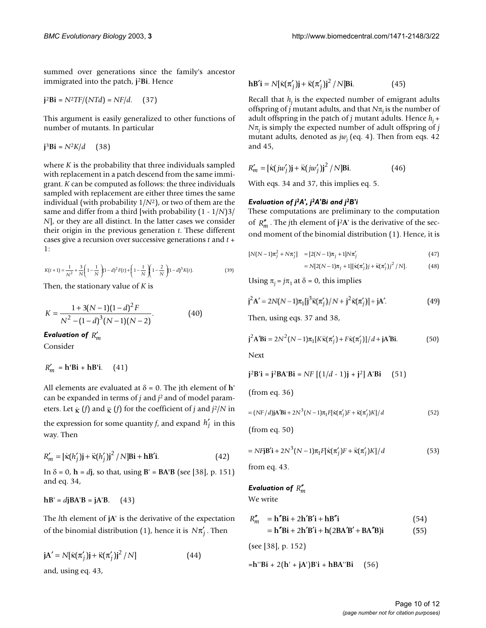summed over generations since the family's ancestor immigrated into the patch, **j**<sup>2</sup>**Bi**. Hence

$$
\mathbf{j}^2 \mathbf{Bi} = N^2 \mathbf{T} F / (NTd) = NF/d. \quad (37)
$$

This argument is easily generalized to other functions of number of mutants. In particular

 $j^3$ **Bi** =  $N^2K/d$  (38)

where *K* is the probability that three individuals sampled with replacement in a patch descend from the same immigrant. *K* can be computed as follows: the three individuals sampled with replacement are either three times the same individual (with probability 1/*N*2), or two of them are the same and differ from a third [with probability (1 - 1/*N*)3/ *N*], or they are all distinct. In the latter cases we consider their origin in the previous generation *t*. These different cases give a recursion over successive generations *t* and *t* + 1:

$$
K(t+1) = \frac{1}{N^2} + \frac{3}{N} \left( 1 - \frac{1}{N} \right) (1 - d)^2 F(t) + \left( 1 - \frac{1}{N} \right) \left( 1 - \frac{2}{N} \right) (1 - d)^3 K(t).
$$
 (39)

Then, the stationary value of *K* is

$$
K = \frac{1 + 3(N-1)(1-d)^2 F}{N^2 - (1-d)^3 (N-1)(N-2)}.
$$
 (40)

Evaluation of  $R'_m$ 

Consider

$$
R'_m = \mathbf{h}' \mathbf{Bi} + \mathbf{h} \mathbf{B'i}.
$$
 (41)

All elements are evaluated at  $\delta = 0$ . The jth element of **h**' can be expanded in terms of *j* and *j*2 and of model parameters. Let  $\kappa$  (*f*) and  $\kappa$  (*f*) for the coefficient of *j* and *j*<sup>2</sup>/*N* in the expression for some quantity *f*, and expand  $h'_j$  in this way. Then

$$
R'_{m} = [\dot{\kappa}(h'_{j})\mathbf{j} + \ddot{\kappa}(h'_{j})\mathbf{j}^{2} / N] \mathbf{Bi} + \mathbf{h}\mathbf{B}'\mathbf{i}.
$$
 (42)

In  $\delta = 0$ ,  $h = d\mathbf{j}$ , so that, using  $B' = BA'B$  (see [38], p. 151) and eq. 34,

$$
hB' = d\mathbf{j}BA'B = \mathbf{j}A'B.
$$
 (43)

The *l*th element of **jA**' is the derivative of the expectation of the binomial distribution (1), hence it is  $N\pi'_{j}$  . Then

$$
\mathbf{j} \mathbf{A}' = N[\dot{\mathbf{k}}(\pi'_j)\mathbf{j} + \ddot{\mathbf{k}}(\pi'_j)\mathbf{j}^2 / N]
$$
\nand, using eq. 43,

$$
\mathbf{h}\mathbf{B}'\mathbf{i} = N[\dot{\kappa}(\pi'_j)\mathbf{j} + \ddot{\kappa}(\pi'_j)\mathbf{j}^2 / N]\mathbf{Bi}.
$$
 (45)

Recall that  $h_i$  is the expected number of emigrant adults offspring of *j* mutant adults, and that  $N\pi$ <sub>*i*</sub> is the number of adult offspring in the patch of *j* mutant adults. Hence  $h_i$  + *N*π*j* is simply the expected number of adult offspring of *j* mutant adults, denoted as  $jw_i$  (eq. 4). Then from eqs. 42 and 45,

$$
R'_{m} = \left[\kappa(jw'_{j})\mathbf{j} + \kappa(jw'_{j})\mathbf{j}^{2} / N\right]\mathbf{Bi}.
$$
 (46)

With eqs. 34 and 37, this implies eq. 5.

# *Evaluation of j2A', j2A'Bi and j2B'i*

These computations are preliminary to the computation of  $R''_m$ . The *j*th element of **j**<sup>2</sup>**A**' is the derivative of the second moment of the binomial distribution (1). Hence, it is

$$
[N(N-1)\pi_j^2 + N\pi_j'] = [2(N-1)\pi_j + 1]N\pi_j' \tag{47}
$$

$$
= N[2(N-1)\pi_j + 1][\dot{\kappa}(\pi'_j)j + \ddot{\kappa}(\pi'_j)j^2 / N]. \tag{48}
$$

Using  $\pi_i = j\pi_1$  at  $\delta = 0$ , this implies

$$
j^{2}A' = 2N(N-1)\pi_{1}[j^{3}\ddot{x}(\pi'_{j})/N + j^{2}\dot{x}(\pi'_{j})] + jA'. \qquad (49)
$$

Then, using eqs. 37 and 38,

$$
\mathbf{j}^{2}\mathbf{A}'\mathbf{B}\mathbf{i} = 2N^{2}(N-1)\pi_{1}[K\ddot{\mathbf{x}}(\pi'_{j}) + F\dot{\mathbf{x}}(\pi'_{j})]/d + \mathbf{j}\mathbf{A}'\mathbf{B}\mathbf{i}.
$$
 (50)

Next

$$
j^2B'
$$
**i** =  $j^2BA'B$ **i** =  $NF [(1/d - 1)j + j2] A'Bi (51)$ 

(from eq. 36)

$$
= (NF/d)\mathbf{j}A'B\mathbf{i} + 2N^3(N-1)\pi_1F[\dot{\kappa}(\pi_j')F + \ddot{\kappa}(\pi_j')K]/d \tag{52}
$$

(from eq. 50)

$$
= N F \mathbf{j} \mathbf{B}' \mathbf{i} + 2N^3 (N-1) \pi_1 F [\dot{\mathbf{k}} (\pi'_j) F + \ddot{\mathbf{k}} (\pi'_j) K] / d \tag{53}
$$

from eq. 43.

# Evaluation of  $R''_m$

We write

$$
R''_m = \mathbf{h}'' \mathbf{Bi} + 2\mathbf{h}' \mathbf{B}' \mathbf{i} + \mathbf{h} \mathbf{B}'' \mathbf{i}
$$
  
= 
$$
\mathbf{h}'' \mathbf{Bi} + 2\mathbf{h}' \mathbf{B}' \mathbf{i} + \mathbf{h} (2\mathbf{BA}' \mathbf{B}' + \mathbf{BA}'' \mathbf{B}) \mathbf{i}
$$
 (55)

(see [38], p. 152)

=**h**''**Bi** + 2(**h**' + **jA**')**B**'**i** + **hBA**''**Bi** (56)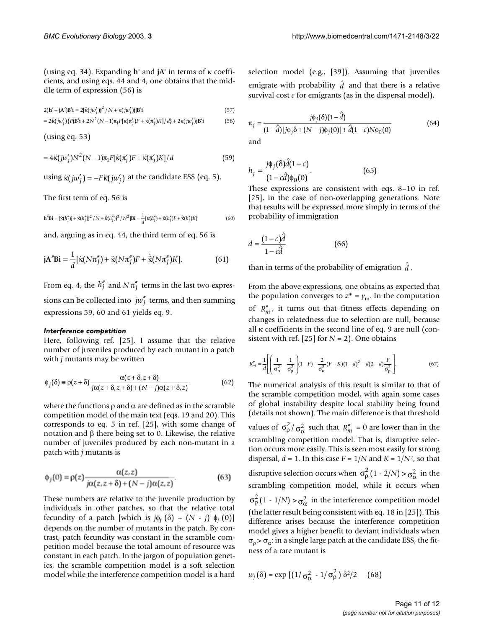(using eq. 34). Expanding **h**' and **jA**' in terms of κ coefficients, and using eqs. 44 and 4, one obtains that the middle term of expression (56) is

$$
2(\mathbf{h}' + \mathbf{j}\mathbf{A}')\mathbf{B}'\mathbf{i} = 2[\ddot{\mathbf{k}}(jw_j')\mathbf{j}^2 / N + \dot{\mathbf{k}}(jw_j')\mathbf{j}]\mathbf{B}'\mathbf{i}
$$
\n(57)

$$
=2\ddot{\kappa}(j\omega_j')\left\{\mathbf{FjB'}\mathbf{i}+2N^2(N-1)\pi_1F[\dot{\kappa}(\pi_j')F+\ddot{\kappa}(\pi_j')K]/d\right\}+2\dot{\kappa}(j\omega_j')\mathbf{jB'}\mathbf{i}
$$
(58)

(using eq. 53)

$$
=4\ddot{\kappa}(j\omega_j')N^2(N-1)\pi_1F[\dot{\kappa}(\pi_j')F+\ddot{\kappa}(\pi_j')K]/d
$$
\n(59)

using  $\kappa(jw'_j) = -F\kappa(jw'_j)$  at the candidate ESS (eq. 5).

The first term of eq. 56 is

$$
\mathbf{h}^{\prime}\mathbf{B}\mathbf{i} = [\dot{\mathbf{x}}(h_j^{\prime})\mathbf{j} + \ddot{\mathbf{x}}(h_j^{\prime})\mathbf{j}^2 / N + \ddot{\mathbf{x}}(h_j^{\prime})\mathbf{j}^3 / N^2]\mathbf{B}\mathbf{i} = \frac{1}{d} [\dot{\mathbf{x}}(h_j^{\prime}) + \ddot{\mathbf{x}}(h_j^{\prime})F + \dot{\dot{\mathbf{x}}}(h_j^{\prime})K] \tag{60}
$$

and, arguing as in eq. 44, the third term of eq. 56 is

$$
\mathbf{j} \mathbf{A}'' \mathbf{B} \mathbf{i} = \frac{1}{d} [\dot{\kappa} (N \pi_j'') + \dot{\kappa} (N \pi_j'') F + \dot{\kappa} (N \pi_j'') K]. \tag{61}
$$

From eq. 4, the  $h''_j$  and  $N\pi''_j$  terms in the last two expressions can be collected into  $jw''_j$  terms, and then summing expressions 59, 60 and 61 yields eq. 9.

#### *Interference competition*

Here, following ref. [25], I assume that the relative number of juveniles produced by each mutant in a patch with *j* mutants may be written

$$
\phi_j(\delta) = \rho(z+\delta) \frac{\alpha(z+\delta, z+\delta)}{j\alpha(z+\delta, z+\delta) + (N-j)\alpha(z+\delta, z)}
$$
(62)

where the functions  $\rho$  and  $\alpha$  are defined as in the scramble competition model of the main text (eqs. 19 and 20). This corresponds to eq. 5 in ref. [25], with some change of notation and β there being set to 0. Likewise, the relative number of juveniles produced by each non-mutant in a patch with *j* mutants is

$$
\phi_j(0) = \rho(z) \frac{\alpha(z, z)}{j\alpha(z, z + \delta) + (N - j)\alpha(z, z)}.\tag{63}
$$

These numbers are relative to the juvenile production by individuals in other patches, so that the relative total fecundity of a patch [which is  $j\phi_j(\delta) + (N - j)\phi_j(0)$ ] depends on the number of mutants in the patch. By contrast, patch fecundity was constant in the scramble competition model because the total amount of resource was constant in each patch. In the jargon of population genetics, the scramble competition model is a soft selection model while the interference competition model is a hard

selection model (e.g., [39]). Assuming that juveniles emigrate with probability  $\hat{d}$  and that there is a relative survival cost  $c$  for emigrants (as in the dispersal model),

$$
\pi_j = \frac{j\phi_j(\delta)(1-\hat{d})}{(1-\hat{d})[j\phi_j\delta + (N-j)\phi_j(0)] + \hat{d}(1-c)N\phi_0(0)}
$$
(64)

and

$$
h_j = \frac{j\phi_j(\delta)\hat{d}(1-c)}{(1-c\hat{d})\phi_0(0)}.
$$
\n(65)

These expressions are consistent with eqs. 8–10 in ref. [25], in the case of non-overlapping generations. Note that results will be expressed more simply in terms of the probability of immigration

$$
d = \frac{(1-c)\hat{d}}{1-c\hat{d}}\tag{66}
$$

than in terms of the probability of emigration  $\hat{d}$  .

From the above expressions, one obtains as expected that the population converges to  $z^* = \gamma_m$ . In the computation of  $R''_m$ , it turns out that fitness effects depending on changes in relatedness due to selection are null, because all κ coefficients in the second line of eq. 9 are null (consistent with ref. [25] for  $N = 2$ ]. One obtains

$$
R''_m = \frac{1}{d} \left[ \left( \frac{1}{\sigma_\alpha^2} - \frac{1}{\sigma_\beta^2} \right) (1 - F) - \frac{2}{\sigma_\alpha^2} (F - K)(1 - d)^2 - d(2 - d) \frac{F}{\sigma_\beta^2} \right].
$$
 (67)

The numerical analysis of this result is similar to that of the scramble competition model, with again some cases of global instability despite local stability being found (details not shown). The main difference is that threshold values of  $\sigma_{\rho}^2 / \sigma_{\alpha}^2$  such that  $R_m^{\prime\prime} = 0$  are lower than in the scrambling competition model. That is, disruptive selection occurs more easily. This is seen most easily for strong dispersal,  $d = 1$ . In this case  $F = 1/N$  and  $K = 1/N<sup>2</sup>$ , so that disruptive selection occurs when  $\sigma_\rho^2(1 - 2/N) > \sigma_\alpha^2$  in the scrambling competition model, while it occurs when  $\sigma_{\rho}^2$  (1 - 1/*N*)  $>\sigma_{\alpha}^2$  in the interference competition model (the latter result being consistent with eq. 18 in [25]). This difference arises because the interference competition model gives a higher benefit to deviant individuals when  $\sigma_{\rm o}$  >  $\sigma_{\rm a}$ : in a single large patch at the candidate ESS, the fitness of a rare mutant is

$$
w_j(\delta) = \exp\left[\left(1/\sigma_{\alpha}^2 - 1/\sigma_{\rho}^2\right)\delta^2/2\right] \quad (68)
$$